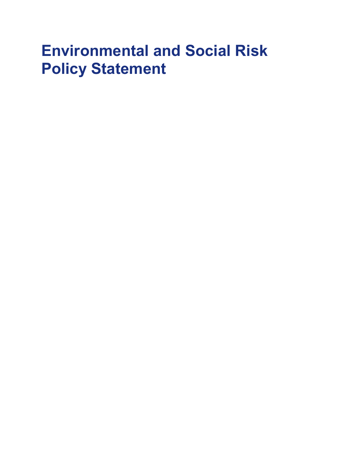# Environmental and Social Risk Policy Statement

- 
- 
- 
- -
- 
-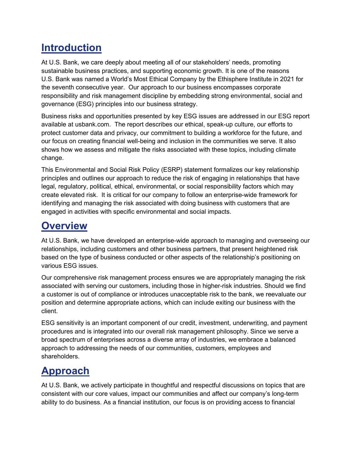# **Introduction**

At U.S. Bank, we care deeply about meeting all of our stakeholders' needs, promoting sustainable business practices, and supporting economic growth. It is one of the reasons U.S. Bank was named a World's Most Ethical Company by the Ethisphere Institute in 2021 for the seventh consecutive year. Our approach to our business encompasses corporate responsibility and risk management discipline by embedding strong environmental, social and governance (ESG) principles into our business strategy.

Business risks and opportunities presented by key ESG issues are addressed in our ESG report available at usbank.com. The report describes our ethical, speak-up culture, our efforts to protect customer data and privacy, our commitment to building a workforce for the future, and our focus on creating financial well-being and inclusion in the communities we serve. It also shows how we assess and mitigate the risks associated with these topics, including climate change.

This Environmental and Social Risk Policy (ESRP) statement formalizes our key relationship principles and outlines our approach to reduce the risk of engaging in relationships that have legal, regulatory, political, ethical, environmental, or social responsibility factors which may create elevated risk. It is critical for our company to follow an enterprise-wide framework for identifying and managing the risk associated with doing business with customers that are engaged in activities with specific environmental and social impacts.

# **Overview**

At U.S. Bank, we have developed an enterprise-wide approach to managing and overseeing our relationships, including customers and other business partners, that present heightened risk based on the type of business conducted or other aspects of the relationship's positioning on various ESG issues.

Our comprehensive risk management process ensures we are appropriately managing the risk associated with serving our customers, including those in higher-risk industries. Should we find a customer is out of compliance or introduces unacceptable risk to the bank, we reevaluate our position and determine appropriate actions, which can include exiting our business with the client.

ESG sensitivity is an important component of our credit, investment, underwriting, and payment procedures and is integrated into our overall risk management philosophy. Since we serve a broad spectrum of enterprises across a diverse array of industries, we embrace a balanced approach to addressing the needs of our communities, customers, employees and shareholders.

# Approach

At U.S. Bank, we actively participate in thoughtful and respectful discussions on topics that are consistent with our core values, impact our communities and affect our company's long-term ability to do business. As a financial institution, our focus is on providing access to financial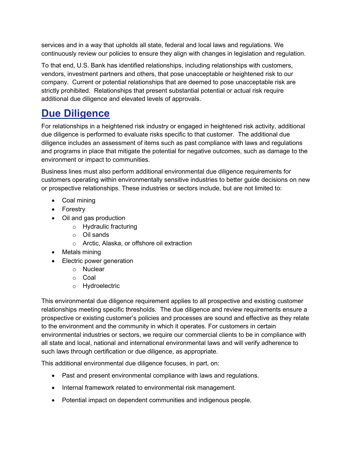services and in a way that upholds all state, federal and local laws and regulations. We continuously review our policies to ensure they align with changes in legislation and regulation.

To that end, U.S. Bank has identified relationships, including relationships with customers, vendors, investment partners and others, that pose unacceptable or heightened risk to our company. Current or potential relationships that are deemed to pose unacceptable risk are strictly prohibited. Relationships that present substantial potential or actual risk require additional due diligence and elevated levels of approvals.

### Due Diligence

For relationships in a heightened risk industry or engaged in heightened risk activity, additional due diligence is performed to evaluate risks specific to that customer. The additional due diligence includes an assessment of items such as past compliance with laws and regulations and programs in place that mitigate the potential for negative outcomes, such as damage to the environment or impact to communities.

Business lines must also perform additional environmental due diligence requirements for customers operating within environmentally sensitive industries to better guide decisions on new or prospective relationships. These industries or sectors include, but are not limited to:

- Coal mining
- Forestry
- Oil and gas production
	- o Hydraulic fracturing
	- o Oil sands
	- o Arctic, Alaska, or offshore oil extraction
- Metals mining
- Electric power generation
	- o Nuclear
	- o Coal
	- o Hydroelectric

This environmental due diligence requirement applies to all prospective and existing customer relationships meeting specific thresholds. The due diligence and review requirements ensure a prospective or existing customer's policies and processes are sound and effective as they relate to the environment and the community in which it operates. For customers in certain environmental industries or sectors, we require our commercial clients to be in compliance with all state and local, national and international environmental laws and will verify adherence to such laws through certification or due diligence, as appropriate.

This additional environmental due diligence focuses, in part, on:

- Past and present environmental compliance with laws and regulations.
- Internal framework related to environmental risk management.
- Potential impact on dependent communities and indigenous people.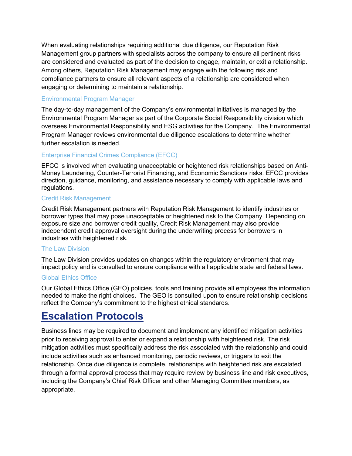When evaluating relationships requiring additional due diligence, our Reputation Risk Management group partners with specialists across the company to ensure all pertinent risks are considered and evaluated as part of the decision to engage, maintain, or exit a relationship. Among others, Reputation Risk Management may engage with the following risk and compliance partners to ensure all relevant aspects of a relationship are considered when engaging or determining to maintain a relationship.

#### Environmental Program Manager

The day-to-day management of the Company's environmental initiatives is managed by the Environmental Program Manager as part of the Corporate Social Responsibility division which oversees Environmental Responsibility and ESG activities for the Company. The Environmental Program Manager reviews environmental due diligence escalations to determine whether further escalation is needed.

#### Enterprise Financial Crimes Compliance (EFCC)

EFCC is involved when evaluating unacceptable or heightened risk relationships based on Anti-Money Laundering, Counter-Terrorist Financing, and Economic Sanctions risks. EFCC provides direction, guidance, monitoring, and assistance necessary to comply with applicable laws and regulations.

#### Credit Risk Management

Credit Risk Management partners with Reputation Risk Management to identify industries or borrower types that may pose unacceptable or heightened risk to the Company. Depending on exposure size and borrower credit quality, Credit Risk Management may also provide independent credit approval oversight during the underwriting process for borrowers in industries with heightened risk.

#### The Law Division

The Law Division provides updates on changes within the regulatory environment that may impact policy and is consulted to ensure compliance with all applicable state and federal laws.

#### Global Ethics Office

Our Global Ethics Office (GEO) policies, tools and training provide all employees the information needed to make the right choices. The GEO is consulted upon to ensure relationship decisions reflect the Company's commitment to the highest ethical standards.

### Escalation Protocols

Business lines may be required to document and implement any identified mitigation activities prior to receiving approval to enter or expand a relationship with heightened risk. The risk mitigation activities must specifically address the risk associated with the relationship and could include activities such as enhanced monitoring, periodic reviews, or triggers to exit the relationship. Once due diligence is complete, relationships with heightened risk are escalated through a formal approval process that may require review by business line and risk executives, including the Company's Chief Risk Officer and other Managing Committee members, as appropriate.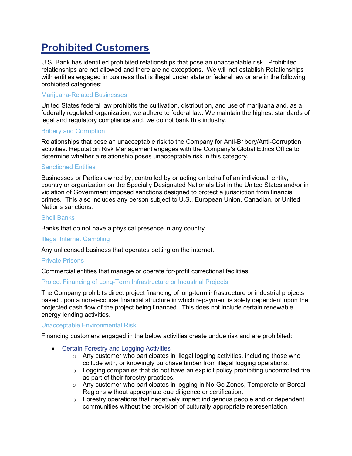# Prohibited Customers

U.S. Bank has identified prohibited relationships that pose an unacceptable risk. Prohibited relationships are not allowed and there are no exceptions. We will not establish Relationships with entities engaged in business that is illegal under state or federal law or are in the following prohibited categories:

#### Marijuana-Related Businesses

United States federal law prohibits the cultivation, distribution, and use of marijuana and, as a federally regulated organization, we adhere to federal law. We maintain the highest standards of legal and regulatory compliance and, we do not bank this industry.

#### Bribery and Corruption

Relationships that pose an unacceptable risk to the Company for Anti-Bribery/Anti-Corruption activities. Reputation Risk Management engages with the Company's Global Ethics Office to determine whether a relationship poses unacceptable risk in this category.

#### Sanctioned Entities

Businesses or Parties owned by, controlled by or acting on behalf of an individual, entity, country or organization on the Specially Designated Nationals List in the United States and/or in violation of Government imposed sanctions designed to protect a jurisdiction from financial crimes. This also includes any person subject to U.S., European Union, Canadian, or United Nations sanctions.

#### Shell Banks

Banks that do not have a physical presence in any country.

#### Illegal Internet Gambling

Any unlicensed business that operates betting on the internet.

#### Private Prisons

Commercial entities that manage or operate for-profit correctional facilities.

#### Project Financing of Long-Term Infrastructure or Industrial Projects

The Company prohibits direct project financing of long-term infrastructure or industrial projects based upon a non-recourse financial structure in which repayment is solely dependent upon the projected cash flow of the project being financed. This does not include certain renewable energy lending activities.

#### Unacceptable Environmental Risk:

Financing customers engaged in the below activities create undue risk and are prohibited:

- Certain Forestry and Logging Activities
	- $\circ$  Any customer who participates in illegal logging activities, including those who collude with, or knowingly purchase timber from illegal logging operations.
	- $\circ$  Logging companies that do not have an explicit policy prohibiting uncontrolled fire as part of their forestry practices.
	- o Any customer who participates in logging in No-Go Zones, Temperate or Boreal Regions without appropriate due diligence or certification.
	- o Forestry operations that negatively impact indigenous people and or dependent communities without the provision of culturally appropriate representation.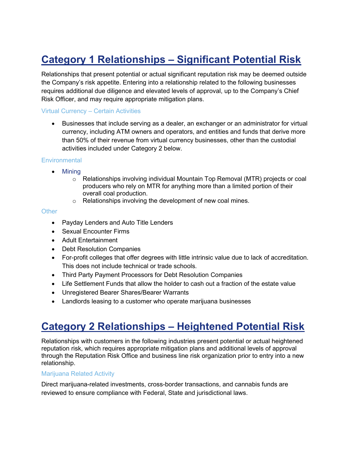# Category 1 Relationships – Significant Potential Risk

Relationships that present potential or actual significant reputation risk may be deemed outside the Company's risk appetite. Entering into a relationship related to the following businesses requires additional due diligence and elevated levels of approval, up to the Company's Chief Risk Officer, and may require appropriate mitigation plans.

#### Virtual Currency – Certain Activities

 Businesses that include serving as a dealer, an exchanger or an administrator for virtual currency, including ATM owners and operators, and entities and funds that derive more than 50% of their revenue from virtual currency businesses, other than the custodial activities included under Category 2 below.

#### **Environmental**

- Mining
	- $\circ$  Relationships involving individual Mountain Top Removal (MTR) projects or coal producers who rely on MTR for anything more than a limited portion of their overall coal production.
	- o Relationships involving the development of new coal mines.

#### **Other**

- Payday Lenders and Auto Title Lenders
- Sexual Encounter Firms
- Adult Entertainment
- Debt Resolution Companies
- For-profit colleges that offer degrees with little intrinsic value due to lack of accreditation. This does not include technical or trade schools.
- Third Party Payment Processors for Debt Resolution Companies
- Life Settlement Funds that allow the holder to cash out a fraction of the estate value
- Unregistered Bearer Shares/Bearer Warrants
- Landlords leasing to a customer who operate marijuana businesses

### Category 2 Relationships – Heightened Potential Risk

Relationships with customers in the following industries present potential or actual heightened reputation risk, which requires appropriate mitigation plans and additional levels of approval through the Reputation Risk Office and business line risk organization prior to entry into a new relationship.

#### Marijuana Related Activity

Direct marijuana-related investments, cross-border transactions, and cannabis funds are reviewed to ensure compliance with Federal, State and jurisdictional laws.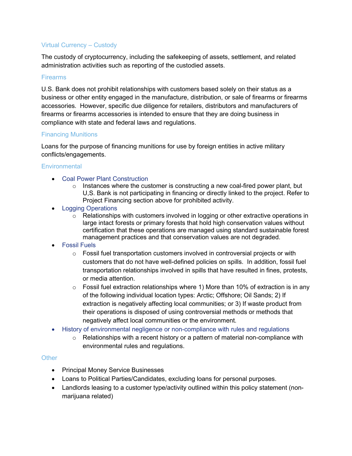#### Virtual Currency – Custody

The custody of cryptocurrency, including the safekeeping of assets, settlement, and related administration activities such as reporting of the custodied assets.

#### Firearms

U.S. Bank does not prohibit relationships with customers based solely on their status as a business or other entity engaged in the manufacture, distribution, or sale of firearms or firearms accessories. However, specific due diligence for retailers, distributors and manufacturers of firearms or firearms accessories is intended to ensure that they are doing business in compliance with state and federal laws and regulations.

#### Financing Munitions

Loans for the purpose of financing munitions for use by foreign entities in active military conflicts/engagements.

#### **Environmental**

- Coal Power Plant Construction
	- $\circ$  Instances where the customer is constructing a new coal-fired power plant, but U,S. Bank is not participating in financing or directly linked to the project. Refer to Project Financing section above for prohibited activity.
- Logging Operations
	- $\circ$  Relationships with customers involved in logging or other extractive operations in large intact forests or primary forests that hold high conservation values without certification that these operations are managed using standard sustainable forest management practices and that conservation values are not degraded.
- Fossil Fuels
	- $\circ$  Fossil fuel transportation customers involved in controversial projects or with customers that do not have well-defined policies on spills. In addition, fossil fuel transportation relationships involved in spills that have resulted in fines, protests, or media attention.
	- $\circ$  Fossil fuel extraction relationships where 1) More than 10% of extraction is in any of the following individual location types: Arctic; Offshore; Oil Sands; 2) If extraction is negatively affecting local communities; or 3) If waste product from their operations is disposed of using controversial methods or methods that negatively affect local communities or the environment.
- History of environmental negligence or non-compliance with rules and regulations
	- $\circ$  Relationships with a recent history or a pattern of material non-compliance with environmental rules and regulations.

#### **Other**

- Principal Money Service Businesses
- Loans to Political Parties/Candidates, excluding loans for personal purposes.
- Landlords leasing to a customer type/activity outlined within this policy statement (nonmarijuana related)